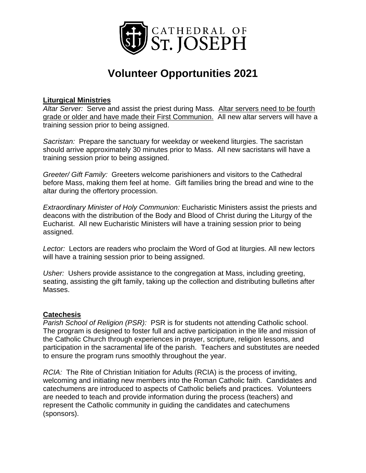

# **Volunteer Opportunities 2021**

## **Liturgical Ministries**

*Altar Server:* Serve and assist the priest during Mass. Altar servers need to be fourth grade or older and have made their First Communion. All new altar servers will have a training session prior to being assigned.

*Sacristan:* Prepare the sanctuary for weekday or weekend liturgies. The sacristan should arrive approximately 30 minutes prior to Mass. All new sacristans will have a training session prior to being assigned.

*Greeter/ Gift Family:* Greeters welcome parishioners and visitors to the Cathedral before Mass, making them feel at home. Gift families bring the bread and wine to the altar during the offertory procession.

*Extraordinary Minister of Holy Communion:* Eucharistic Ministers assist the priests and deacons with the distribution of the Body and Blood of Christ during the Liturgy of the Eucharist. All new Eucharistic Ministers will have a training session prior to being assigned.

*Lector:* Lectors are readers who proclaim the Word of God at liturgies. All new lectors will have a training session prior to being assigned.

*Usher:* Ushers provide assistance to the congregation at Mass, including greeting, seating, assisting the gift family, taking up the collection and distributing bulletins after Masses.

## **Catechesis**

*Parish School of Religion (PSR):* PSR is for students not attending Catholic school. The program is designed to foster full and active participation in the life and mission of the Catholic Church through experiences in prayer, scripture, religion lessons, and participation in the sacramental life of the parish. Teachers and substitutes are needed to ensure the program runs smoothly throughout the year.

*RCIA:* The Rite of Christian Initiation for Adults (RCIA) is the process of inviting, welcoming and initiating new members into the Roman Catholic faith. Candidates and catechumens are introduced to aspects of Catholic beliefs and practices. Volunteers are needed to teach and provide information during the process (teachers) and represent the Catholic community in guiding the candidates and catechumens (sponsors).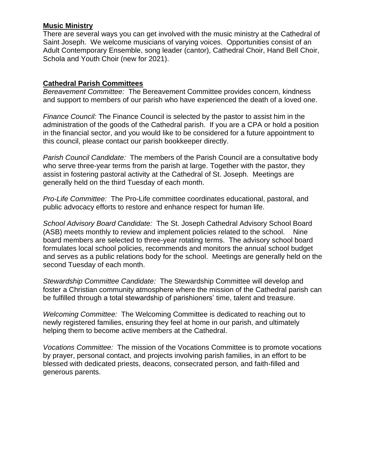## **Music Ministry**

There are several ways you can get involved with the music ministry at the Cathedral of Saint Joseph. We welcome musicians of varying voices. Opportunities consist of an Adult Contemporary Ensemble, song leader (cantor), Cathedral Choir, Hand Bell Choir, Schola and Youth Choir (new for 2021).

## **Cathedral Parish Committees**

*Bereavement Committee:* The Bereavement Committee provides concern, kindness and support to members of our parish who have experienced the death of a loved one.

*Finance Council:* The Finance Council is selected by the pastor to assist him in the administration of the goods of the Cathedral parish. If you are a CPA or hold a position in the financial sector, and you would like to be considered for a future appointment to this council, please contact our parish bookkeeper directly.

*Parish Council Candidate:* The members of the Parish Council are a consultative body who serve three-year terms from the parish at large. Together with the pastor, they assist in fostering pastoral activity at the Cathedral of St. Joseph. Meetings are generally held on the third Tuesday of each month.

*Pro-Life Committee:* The Pro-Life committee coordinates educational, pastoral, and public advocacy efforts to restore and enhance respect for human life.

*School Advisory Board Candidate:* The St. Joseph Cathedral Advisory School Board (ASB) meets monthly to review and implement policies related to the school. Nine board members are selected to three-year rotating terms. The advisory school board formulates local school policies, recommends and monitors the annual school budget and serves as a public relations body for the school. Meetings are generally held on the second Tuesday of each month.

*Stewardship Committee Candidate:* The Stewardship Committee will develop and foster a Christian community atmosphere where the mission of the Cathedral parish can be fulfilled through a total stewardship of parishioners' time, talent and treasure.

*Welcoming Committee:* The Welcoming Committee is dedicated to reaching out to newly registered families, ensuring they feel at home in our parish, and ultimately helping them to become active members at the Cathedral.

*Vocations Committee:* The mission of the Vocations Committee is to promote vocations by prayer, personal contact, and projects involving parish families, in an effort to be blessed with dedicated priests, deacons, consecrated person, and faith-filled and generous parents.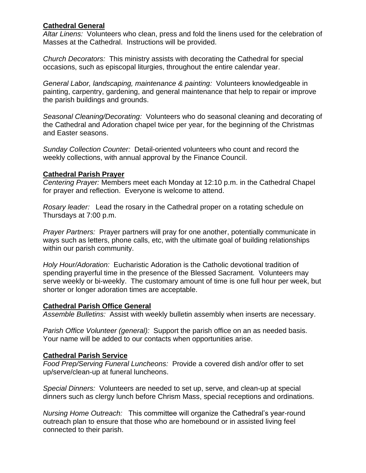## **Cathedral General**

*Altar Linens:* Volunteers who clean, press and fold the linens used for the celebration of Masses at the Cathedral. Instructions will be provided.

*Church Decorators:* This ministry assists with decorating the Cathedral for special occasions, such as episcopal liturgies, throughout the entire calendar year.

*General Labor, landscaping, maintenance & painting:* Volunteers knowledgeable in painting, carpentry, gardening, and general maintenance that help to repair or improve the parish buildings and grounds.

*Seasonal Cleaning/Decorating:* Volunteers who do seasonal cleaning and decorating of the Cathedral and Adoration chapel twice per year, for the beginning of the Christmas and Easter seasons.

*Sunday Collection Counter:* Detail-oriented volunteers who count and record the weekly collections, with annual approval by the Finance Council.

## **Cathedral Parish Prayer**

*Centering Prayer:* Members meet each Monday at 12:10 p.m. in the Cathedral Chapel for prayer and reflection. Everyone is welcome to attend.

*Rosary leader:* Lead the rosary in the Cathedral proper on a rotating schedule on Thursdays at 7:00 p.m.

*Prayer Partners:* Prayer partners will pray for one another, potentially communicate in ways such as letters, phone calls, etc, with the ultimate goal of building relationships within our parish community.

*Holy Hour/Adoration:* Eucharistic Adoration is the Catholic devotional tradition of spending prayerful time in the presence of the Blessed Sacrament. Volunteers may serve weekly or bi-weekly. The customary amount of time is one full hour per week, but shorter or longer adoration times are acceptable.

## **Cathedral Parish Office General**

*Assemble Bulletins:* Assist with weekly bulletin assembly when inserts are necessary.

*Parish Office Volunteer (general):* Support the parish office on an as needed basis. Your name will be added to our contacts when opportunities arise.

## **Cathedral Parish Service**

*Food Prep/Serving Funeral Luncheons:* Provide a covered dish and/or offer to set up/serve/clean-up at funeral luncheons.

*Special Dinners:* Volunteers are needed to set up, serve, and clean-up at special dinners such as clergy lunch before Chrism Mass, special receptions and ordinations.

*Nursing Home Outreach:* This committee will organize the Cathedral's year-round outreach plan to ensure that those who are homebound or in assisted living feel connected to their parish.